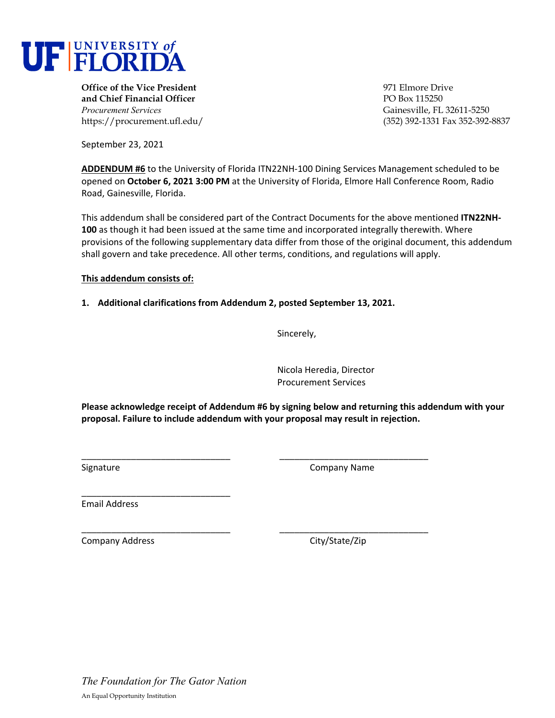

**Office of the Vice President** 971 Elmore Drive **and Chief Financial Officer PO Box 115250** *Procurement Services* Gainesville, FL 32611-5250

https://procurement.ufl.edu/ (352) 392-1331 Fax 352-392-8837

September 23, 2021

**ADDENDUM #6** to the University of Florida ITN22NH‐100 Dining Services Management scheduled to be opened on **October 6, 2021 3:00 PM** at the University of Florida, Elmore Hall Conference Room, Radio Road, Gainesville, Florida.

This addendum shall be considered part of the Contract Documents for the above mentioned **ITN22NH‐ 100** as though it had been issued at the same time and incorporated integrally therewith. Where provisions of the following supplementary data differ from those of the original document, this addendum shall govern and take precedence. All other terms, conditions, and regulations will apply.

# **This addendum consists of:**

**1. Additional clarifications from Addendum 2, posted September 13, 2021.** 

Sincerely,

Nicola Heredia, Director Procurement Services

**Please acknowledge receipt of Addendum #6 by signing below and returning this addendum with your proposal. Failure to include addendum with your proposal may result in rejection.**

\_\_\_\_\_\_\_\_\_\_\_\_\_\_\_\_\_\_\_\_\_\_\_\_\_\_\_\_\_\_ \_\_\_\_\_\_\_\_\_\_\_\_\_\_\_\_\_\_\_\_\_\_\_\_\_\_\_\_\_\_

\_\_\_\_\_\_\_\_\_\_\_\_\_\_\_\_\_\_\_\_\_\_\_\_\_\_\_\_\_\_ \_\_\_\_\_\_\_\_\_\_\_\_\_\_\_\_\_\_\_\_\_\_\_\_\_\_\_\_\_\_

Signature **Company Name** 

Email Address

\_\_\_\_\_\_\_\_\_\_\_\_\_\_\_\_\_\_\_\_\_\_\_\_\_\_\_\_\_\_

Company Address City/State/Zip